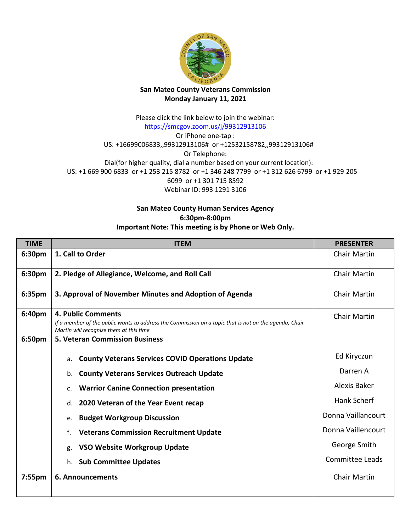

## **San Mateo County Veterans Commission Monday January 11, 2021**

Please click the link below to join the webinar: <https://smcgov.zoom.us/j/99312913106> Or iPhone one-tap : US: +16699006833,,99312913106# or +12532158782,,99312913106# Or Telephone: Dial(for higher quality, dial a number based on your current location): US: +1 669 900 6833 or +1 253 215 8782 or +1 346 248 7799 or +1 312 626 6799 or +1 929 205 6099 or +1 301 715 8592 Webinar ID: 993 1291 3106

## **San Mateo County Human Services Agency 6:30pm-8:00pm**

## **Important Note: This meeting is by Phone or Web Only.**

| 1. Call to Order<br>6:30pm<br>Chair Martin<br>6:30pm<br>2. Pledge of Allegiance, Welcome, and Roll Call<br><b>Chair Martin</b><br>3. Approval of November Minutes and Adoption of Agenda<br>6:35pm<br><b>Chair Martin</b><br>6:40pm<br><b>4. Public Comments</b><br><b>Chair Martin</b><br>If a member of the public wants to address the Commission on a topic that is not on the agenda, Chair<br>Martin will recognize them at this time<br>6:50pm<br><b>5. Veteran Commission Business</b><br>Ed Kiryczun<br><b>County Veterans Services COVID Operations Update</b><br>a.<br>Darren A<br><b>County Veterans Services Outreach Update</b><br>b.<br>Alexis Baker<br><b>Warrior Canine Connection presentation</b><br>c.<br>Hank Scherf<br>2020 Veteran of the Year Event recap<br>d.<br>Donna Vaillancourt<br><b>Budget Workgroup Discussion</b><br>e.<br>Donna Vaillencourt<br><b>Veterans Commission Recruitment Update</b><br>f.<br>George Smith<br><b>VSO Website Workgroup Update</b><br>g.<br><b>Committee Leads</b><br><b>Sub Committee Updates</b><br>h.<br><b>Chair Martin</b><br>$7:55$ pm<br>6. Announcements | <b>TIME</b> | <b>ITEM</b> | <b>PRESENTER</b> |
|-----------------------------------------------------------------------------------------------------------------------------------------------------------------------------------------------------------------------------------------------------------------------------------------------------------------------------------------------------------------------------------------------------------------------------------------------------------------------------------------------------------------------------------------------------------------------------------------------------------------------------------------------------------------------------------------------------------------------------------------------------------------------------------------------------------------------------------------------------------------------------------------------------------------------------------------------------------------------------------------------------------------------------------------------------------------------------------------------------------------------------|-------------|-------------|------------------|
|                                                                                                                                                                                                                                                                                                                                                                                                                                                                                                                                                                                                                                                                                                                                                                                                                                                                                                                                                                                                                                                                                                                             |             |             |                  |
|                                                                                                                                                                                                                                                                                                                                                                                                                                                                                                                                                                                                                                                                                                                                                                                                                                                                                                                                                                                                                                                                                                                             |             |             |                  |
|                                                                                                                                                                                                                                                                                                                                                                                                                                                                                                                                                                                                                                                                                                                                                                                                                                                                                                                                                                                                                                                                                                                             |             |             |                  |
|                                                                                                                                                                                                                                                                                                                                                                                                                                                                                                                                                                                                                                                                                                                                                                                                                                                                                                                                                                                                                                                                                                                             |             |             |                  |
|                                                                                                                                                                                                                                                                                                                                                                                                                                                                                                                                                                                                                                                                                                                                                                                                                                                                                                                                                                                                                                                                                                                             |             |             |                  |
|                                                                                                                                                                                                                                                                                                                                                                                                                                                                                                                                                                                                                                                                                                                                                                                                                                                                                                                                                                                                                                                                                                                             |             |             |                  |
|                                                                                                                                                                                                                                                                                                                                                                                                                                                                                                                                                                                                                                                                                                                                                                                                                                                                                                                                                                                                                                                                                                                             |             |             |                  |
|                                                                                                                                                                                                                                                                                                                                                                                                                                                                                                                                                                                                                                                                                                                                                                                                                                                                                                                                                                                                                                                                                                                             |             |             |                  |
|                                                                                                                                                                                                                                                                                                                                                                                                                                                                                                                                                                                                                                                                                                                                                                                                                                                                                                                                                                                                                                                                                                                             |             |             |                  |
|                                                                                                                                                                                                                                                                                                                                                                                                                                                                                                                                                                                                                                                                                                                                                                                                                                                                                                                                                                                                                                                                                                                             |             |             |                  |
|                                                                                                                                                                                                                                                                                                                                                                                                                                                                                                                                                                                                                                                                                                                                                                                                                                                                                                                                                                                                                                                                                                                             |             |             |                  |
|                                                                                                                                                                                                                                                                                                                                                                                                                                                                                                                                                                                                                                                                                                                                                                                                                                                                                                                                                                                                                                                                                                                             |             |             |                  |
|                                                                                                                                                                                                                                                                                                                                                                                                                                                                                                                                                                                                                                                                                                                                                                                                                                                                                                                                                                                                                                                                                                                             |             |             |                  |
|                                                                                                                                                                                                                                                                                                                                                                                                                                                                                                                                                                                                                                                                                                                                                                                                                                                                                                                                                                                                                                                                                                                             |             |             |                  |